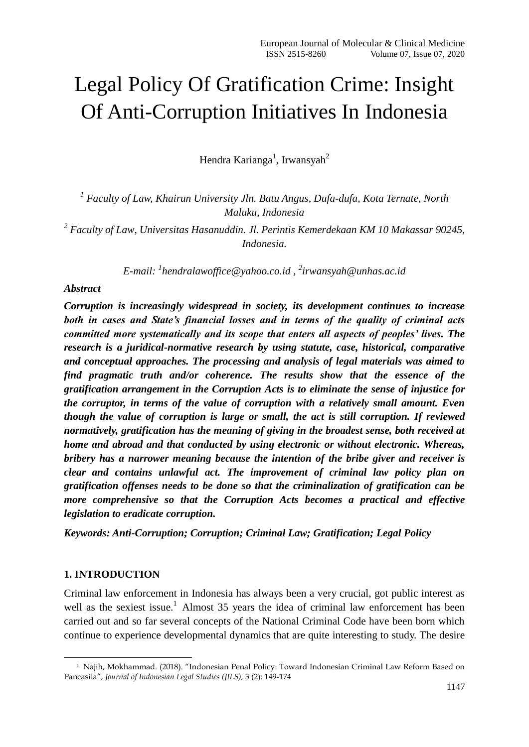# Legal Policy Of Gratification Crime: Insight Of Anti-Corruption Initiatives In Indonesia

Hendra Karianga<sup>1</sup>, Irwansyah<sup>2</sup>

*1 Faculty of Law, Khairun University Jln. Batu Angus, Dufa-dufa, Kota Ternate, North Maluku, Indonesia*

*2 Faculty of Law, Universitas Hasanuddin. Jl. Perintis Kemerdekaan KM 10 Makassar 90245, Indonesia.*

*E-mail: <sup>1</sup> [hendralawoffice@yahoo.co.id](mailto:hendralawoffice@yahoo.co.id) , 2 [irwansyah@unhas.ac.id](mailto:irwansyah@unhas.ac.id)*

#### *Abstract*

*Corruption is increasingly widespread in society, its development continues to increase both in cases and State's financial losses and in terms of the quality of criminal acts committed more systematically and its scope that enters all aspects of peoples' lives. The research is a juridical-normative research by using statute, case, historical, comparative and conceptual approaches. The processing and analysis of legal materials was aimed to find pragmatic truth and/or coherence. The results show that the essence of the gratification arrangement in the Corruption Acts is to eliminate the sense of injustice for the corruptor, in terms of the value of corruption with a relatively small amount. Even though the value of corruption is large or small, the act is still corruption. If reviewed normatively, gratification has the meaning of giving in the broadest sense, both received at home and abroad and that conducted by using electronic or without electronic. Whereas, bribery has a narrower meaning because the intention of the bribe giver and receiver is clear and contains unlawful act. The improvement of criminal law policy plan on gratification offenses needs to be done so that the criminalization of gratification can be more comprehensive so that the Corruption Acts becomes a practical and effective legislation to eradicate corruption.*

*Keywords: Anti-Corruption; Corruption; Criminal Law; Gratification; Legal Policy*

#### **1. INTRODUCTION**

-

Criminal law enforcement in Indonesia has always been a very crucial, got public interest as well as the sexiest issue.<sup>1</sup> Almost 35 years the idea of criminal law enforcement has been carried out and so far several concepts of the National Criminal Code have been born which continue to experience developmental dynamics that are quite interesting to study. The desire

<sup>1</sup> Najih, Mokhammad. (2018). "Indonesian Penal Policy: Toward Indonesian Criminal Law Reform Based on Pancasila", *Journal of Indonesian Legal Studies (JILS),* 3 (2): 149-174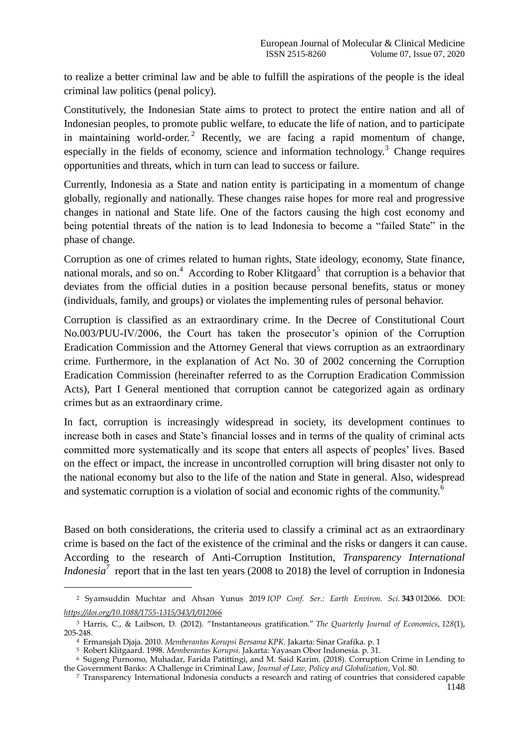to realize a better criminal law and be able to fulfill the aspirations of the people is the ideal criminal law politics (penal policy).

Constitutively, the Indonesian State aims to protect to protect the entire nation and all of Indonesian peoples, to promote public welfare, to educate the life of nation, and to participate in maintaining world-order.<sup>2</sup> Recently, we are facing a rapid momentum of change, especially in the fields of economy, science and information technology.<sup>3</sup> Change requires opportunities and threats, which in turn can lead to success or failure.

Currently, Indonesia as a State and nation entity is participating in a momentum of change globally, regionally and nationally. These changes raise hopes for more real and progressive changes in national and State life. One of the factors causing the high cost economy and being potential threats of the nation is to lead Indonesia to become a "failed State" in the phase of change.

Corruption as one of crimes related to human rights, State ideology, economy, State finance, national morals, and so on.<sup>4</sup> According to Rober Klitgaard<sup>5</sup> that corruption is a behavior that deviates from the official duties in a position because personal benefits, status or money (individuals, family, and groups) or violates the implementing rules of personal behavior.

Corruption is classified as an extraordinary crime. In the Decree of Constitutional Court No.003/PUU-IV/2006, the Court has taken the prosecutor's opinion of the Corruption Eradication Commission and the Attorney General that views corruption as an extraordinary crime. Furthermore, in the explanation of Act No. 30 of 2002 concerning the Corruption Eradication Commission (hereinafter referred to as the Corruption Eradication Commission Acts), Part I General mentioned that corruption cannot be categorized again as ordinary crimes but as an extraordinary crime.

In fact, corruption is increasingly widespread in society, its development continues to increase both in cases and State"s financial losses and in terms of the quality of criminal acts committed more systematically and its scope that enters all aspects of peoples" lives. Based on the effect or impact, the increase in uncontrolled corruption will bring disaster not only to the national economy but also to the life of the nation and State in general. Also, widespread and systematic corruption is a violation of social and economic rights of the community.<sup>6</sup>

Based on both considerations, the criteria used to classify a criminal act as an extraordinary crime is based on the fact of the existence of the criminal and the risks or dangers it can cause. According to the research of Anti-Corruption Institution, *Transparency International Indonesia*<sup>7</sup> report that in the last ten years (2008 to 2018) the level of corruption in Indonesia

-

<sup>2</sup> Syamsuddin Muchtar and Ahsan Yunus 2019 *IOP Conf. Ser.: Earth Environ. Sci.* **343** 012066. DOI: *<https://doi.org/10.1088/1755-1315/343/1/012066>*

<sup>3</sup> Harris, C., & Laibson, D. (2012). "Instantaneous gratification." *The Quarterly Journal of Economics*, *128*(1), 205-248.

<sup>4</sup> Ermansjah Djaja. 2010. *Memberantas Korupsi Bersama KPK*. Jakarta: Sinar Grafika. p. 1

<sup>5</sup> Robert Klitgaard. 1998. *Memberantas Korupsi*. Jakarta: Yayasan Obor Indonesia. p. 31.

<sup>6</sup> Sugeng Purnomo, Muhadar, Farida Patittingi, and M. Said Karim. (2018). Corruption Crime in Lending to the Government Banks: A Challenge in Criminal Law, *Journal of Law, Policy and Globalization*, Vol. 80.

<sup>1148</sup> <sup>7</sup> Transparency International Indonesia conducts a research and rating of countries that considered capable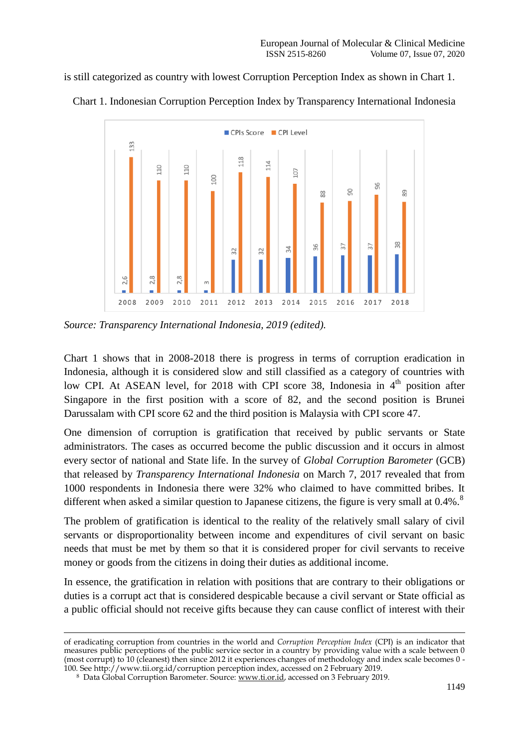is still categorized as country with lowest Corruption Perception Index as shown in Chart 1.



Chart 1. Indonesian Corruption Perception Index by Transparency International Indonesia

*Source: Transparency International Indonesia, 2019 (edited).*

Chart 1 shows that in 2008-2018 there is progress in terms of corruption eradication in Indonesia, although it is considered slow and still classified as a category of countries with low CPI. At ASEAN level, for 2018 with CPI score 38, Indonesia in  $4<sup>th</sup>$  position after Singapore in the first position with a score of 82, and the second position is Brunei Darussalam with CPI score 62 and the third position is Malaysia with CPI score 47.

One dimension of corruption is gratification that received by public servants or State administrators. The cases as occurred become the public discussion and it occurs in almost every sector of national and State life. In the survey of *Global Corruption Barometer* (GCB) that released by *Transparency International Indonesia* on March 7, 2017 revealed that from 1000 respondents in Indonesia there were 32% who claimed to have committed bribes. It different when asked a similar question to Japanese citizens, the figure is very small at 0.4%.<sup>8</sup>

The problem of gratification is identical to the reality of the relatively small salary of civil servants or disproportionality between income and expenditures of civil servant on basic needs that must be met by them so that it is considered proper for civil servants to receive money or goods from the citizens in doing their duties as additional income.

In essence, the gratification in relation with positions that are contrary to their obligations or duties is a corrupt act that is considered despicable because a civil servant or State official as a public official should not receive gifts because they can cause conflict of interest with their

-

of eradicating corruption from countries in the world and *Corruption Perception Index* (CPI) is an indicator that measures public perceptions of the public service sector in a country by providing value with a scale between 0 (most corrupt) to 10 (cleanest) then since 2012 it experiences changes of methodology and index scale becomes 0 - 100. See http://www.tii.org.id/corruption perception index, accessed on 2 February 2019.

<sup>8</sup> Data Global Corruption Barometer. Source: [www.ti.or.id,](http://www.ti.or.id/) accessed on 3 February 2019.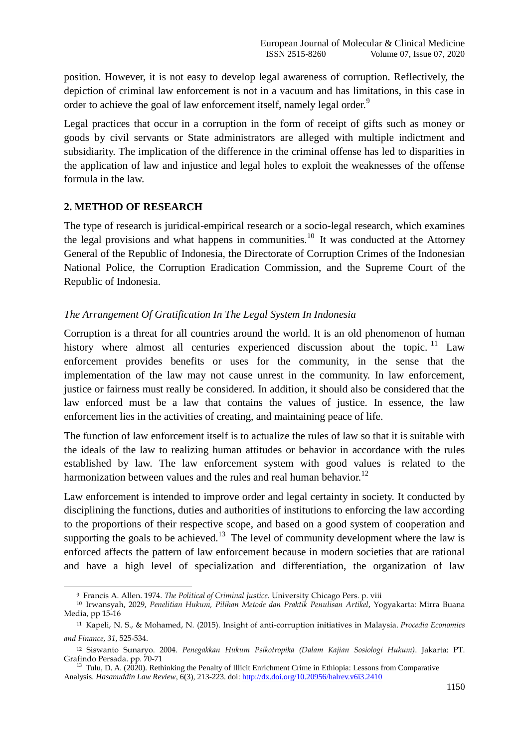position. However, it is not easy to develop legal awareness of corruption. Reflectively, the depiction of criminal law enforcement is not in a vacuum and has limitations, in this case in order to achieve the goal of law enforcement itself, namely legal order.<sup>9</sup>

Legal practices that occur in a corruption in the form of receipt of gifts such as money or goods by civil servants or State administrators are alleged with multiple indictment and subsidiarity. The implication of the difference in the criminal offense has led to disparities in the application of law and injustice and legal holes to exploit the weaknesses of the offense formula in the law.

## **2. METHOD OF RESEARCH**

-

The type of research is juridical-empirical research or a socio-legal research, which examines the legal provisions and what happens in communities.<sup>10</sup> It was conducted at the Attorney General of the Republic of Indonesia, the Directorate of Corruption Crimes of the Indonesian National Police, the Corruption Eradication Commission, and the Supreme Court of the Republic of Indonesia.

## *The Arrangement Of Gratification In The Legal System In Indonesia*

Corruption is a threat for all countries around the world. It is an old phenomenon of human history where almost all centuries experienced discussion about the topic.<sup>11</sup> Law enforcement provides benefits or uses for the community, in the sense that the implementation of the law may not cause unrest in the community. In law enforcement, justice or fairness must really be considered. In addition, it should also be considered that the law enforced must be a law that contains the values of justice. In essence, the law enforcement lies in the activities of creating, and maintaining peace of life.

The function of law enforcement itself is to actualize the rules of law so that it is suitable with the ideals of the law to realizing human attitudes or behavior in accordance with the rules established by law. The law enforcement system with good values is related to the harmonization between values and the rules and real human behavior.<sup>12</sup>

Law enforcement is intended to improve order and legal certainty in society. It conducted by disciplining the functions, duties and authorities of institutions to enforcing the law according to the proportions of their respective scope, and based on a good system of cooperation and supporting the goals to be achieved.<sup>13</sup> The level of community development where the law is enforced affects the pattern of law enforcement because in modern societies that are rational and have a high level of specialization and differentiation, the organization of law

<sup>9</sup> Francis A. Allen. 1974. *The Political of Criminal Justice.* University Chicago Pers. p. viii

<sup>10</sup> Irwansyah, 2029, *Penelitian Hukum, Pilihan Metode dan Praktik Penulisan Artikel*, Yogyakarta: Mirra Buana Media, pp 15-16

<sup>11</sup> Kapeli, N. S., & Mohamed, N. (2015). Insight of anti-corruption initiatives in Malaysia. *Procedia Economics and Finance*, *31*, 525-534.

<sup>12</sup> Siswanto Sunaryo. 2004. *Penegakkan Hukum Psikotropika (Dalam Kajian Sosiologi Hukum)*. Jakarta: PT. Grafindo Persada. pp. 70-71

<sup>&</sup>lt;sup>13</sup> Tulu, D. A. (2020). Rethinking the Penalty of Illicit Enrichment Crime in Ethiopia: Lessons from Comparative Analysis. *Hasanuddin Law Review*, 6(3), 213-223. doi: <http://dx.doi.org/10.20956/halrev.v6i3.2410>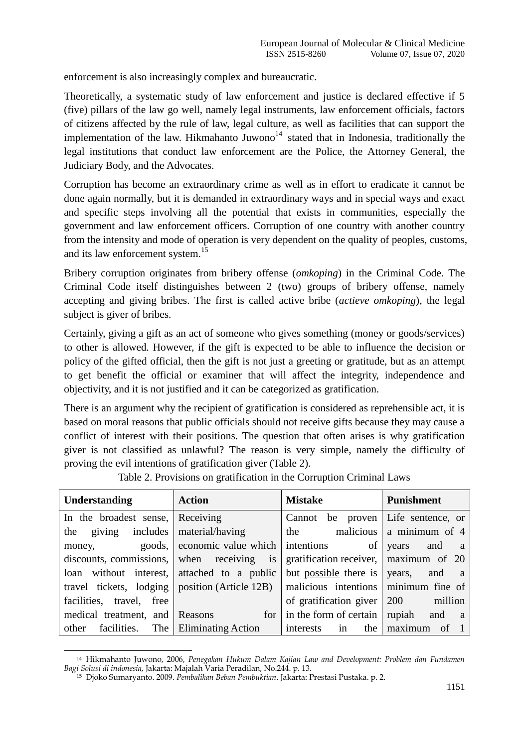enforcement is also increasingly complex and bureaucratic.

Theoretically, a systematic study of law enforcement and justice is declared effective if 5 (five) pillars of the law go well, namely legal instruments, law enforcement officials, factors of citizens affected by the rule of law, legal culture, as well as facilities that can support the implementation of the law. Hikmahanto Juwono<sup>14</sup> stated that in Indonesia, traditionally the legal institutions that conduct law enforcement are the Police, the Attorney General, the Judiciary Body, and the Advocates.

Corruption has become an extraordinary crime as well as in effort to eradicate it cannot be done again normally, but it is demanded in extraordinary ways and in special ways and exact and specific steps involving all the potential that exists in communities, especially the government and law enforcement officers. Corruption of one country with another country from the intensity and mode of operation is very dependent on the quality of peoples, customs, and its law enforcement system.<sup>15</sup>

Bribery corruption originates from bribery offense (*omkoping*) in the Criminal Code. The Criminal Code itself distinguishes between 2 (two) groups of bribery offense, namely accepting and giving bribes. The first is called active bribe (*actieve omkoping*), the legal subject is giver of bribes.

Certainly, giving a gift as an act of someone who gives something (money or goods/services) to other is allowed. However, if the gift is expected to be able to influence the decision or policy of the gifted official, then the gift is not just a greeting or gratitude, but as an attempt to get benefit the official or examiner that will affect the integrity, independence and objectivity, and it is not justified and it can be categorized as gratification.

There is an argument why the recipient of gratification is considered as reprehensible act, it is based on moral reasons that public officials should not receive gifts because they may cause a conflict of interest with their positions. The question that often arises is why gratification giver is not classified as unlawful? The reason is very simple, namely the difficulty of proving the evil intentions of gratification giver (Table 2).

| Understanding                                                                             | <b>Action</b>               | <b>Mistake</b>                                | Punishment                  |
|-------------------------------------------------------------------------------------------|-----------------------------|-----------------------------------------------|-----------------------------|
| In the broadest sense, Receiving                                                          |                             | Cannot                                        | be proven Life sentence, or |
| the giving includes material/having                                                       |                             | the malicious $\alpha$ numerical number of 4  |                             |
| money,                                                                                    | goods, economic value which | intentions<br>of <sub>1</sub>                 | years and a                 |
| discounts, commissions, when receiving is                                                 |                             | gratification receiver, $\vert$ maximum of 20 |                             |
| loan without interest, attached to a public                                               |                             | but possible there is $\sqrt{ }$ years,       | and a                       |
| travel tickets, lodging   position (Article 12B)   malicious intentions   minimum fine of |                             |                                               |                             |
| facilities, travel, free                                                                  |                             | of gratification giver $\vert 200 \vert$      | million                     |
| medical treatment, and Reasons                                                            | for                         | in the form of certain $\vert$                | rupiah and a                |
| other facilities. The Eliminating Action                                                  |                             | in<br>interests<br>the                        | maximum of                  |

Table 2. Provisions on gratification in the Corruption Criminal Laws

<u>.</u>

<sup>14</sup> Hikmahanto Juwono, 2006, *Penegakan Hukum Dalam Kajian Law and Development: Problem dan Fundamen Bagi Solusi di indonesia*, Jakarta: Majalah Varia Peradilan, No.244. p. 13.

<sup>15</sup> Djoko Sumaryanto. 2009. *Pembalikan Beban Pembuktian*. Jakarta: Prestasi Pustaka. p. 2.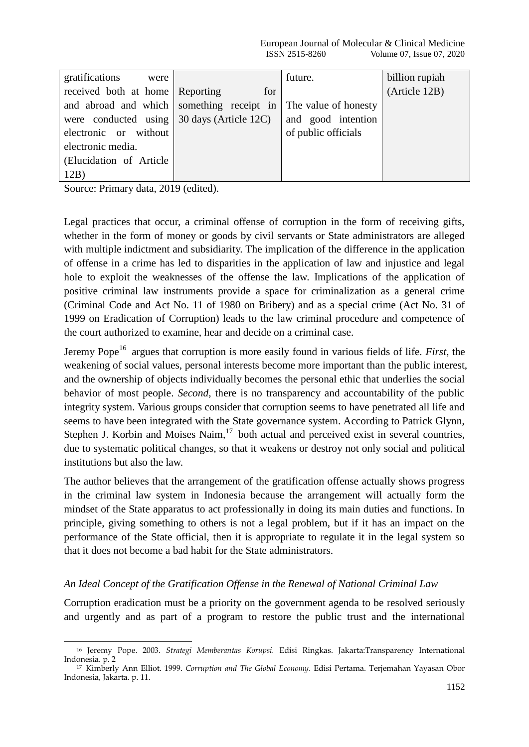| gratifications<br>were                             |     | future.              | billion rupiah |
|----------------------------------------------------|-----|----------------------|----------------|
| received both at home Reporting                    | for |                      | (Article 12B)  |
| and abroad and which something receipt in          |     | The value of honesty |                |
| were conducted using $\vert$ 30 days (Article 12C) |     | and good intention   |                |
| electronic or without                              |     | of public officials  |                |
| electronic media.                                  |     |                      |                |
| (Elucidation of Article)                           |     |                      |                |
| 12B)                                               |     |                      |                |

Source: Primary data, 2019 (edited).

Legal practices that occur, a criminal offense of corruption in the form of receiving gifts, whether in the form of money or goods by civil servants or State administrators are alleged with multiple indictment and subsidiarity. The implication of the difference in the application of offense in a crime has led to disparities in the application of law and injustice and legal hole to exploit the weaknesses of the offense the law. Implications of the application of positive criminal law instruments provide a space for criminalization as a general crime (Criminal Code and Act No. 11 of 1980 on Bribery) and as a special crime (Act No. 31 of 1999 on Eradication of Corruption) leads to the law criminal procedure and competence of the court authorized to examine, hear and decide on a criminal case.

Jeremy Pope<sup>16</sup> argues that corruption is more easily found in various fields of life. *First*, the weakening of social values, personal interests become more important than the public interest, and the ownership of objects individually becomes the personal ethic that underlies the social behavior of most people. *Second*, there is no transparency and accountability of the public integrity system. Various groups consider that corruption seems to have penetrated all life and seems to have been integrated with the State governance system. According to Patrick Glynn, Stephen J. Korbin and Moises Naim, $17$  both actual and perceived exist in several countries, due to systematic political changes, so that it weakens or destroy not only social and political institutions but also the law.

The author believes that the arrangement of the gratification offense actually shows progress in the criminal law system in Indonesia because the arrangement will actually form the mindset of the State apparatus to act professionally in doing its main duties and functions. In principle, giving something to others is not a legal problem, but if it has an impact on the performance of the State official, then it is appropriate to regulate it in the legal system so that it does not become a bad habit for the State administrators.

### *An Ideal Concept of the Gratification Offense in the Renewal of National Criminal Law*

Corruption eradication must be a priority on the government agenda to be resolved seriously and urgently and as part of a program to restore the public trust and the international

<sup>-</sup><sup>16</sup> Jeremy Pope. 2003. *Strategi Memberantas Korupsi.* Edisi Ringkas. Jakarta:Transparency International Indonesia. p. 2

<sup>17</sup> Kimberly Ann Elliot. 1999. *Corruption and The Global Economy*. Edisi Pertama. Terjemahan Yayasan Obor Indonesia, Jakarta. p. 11.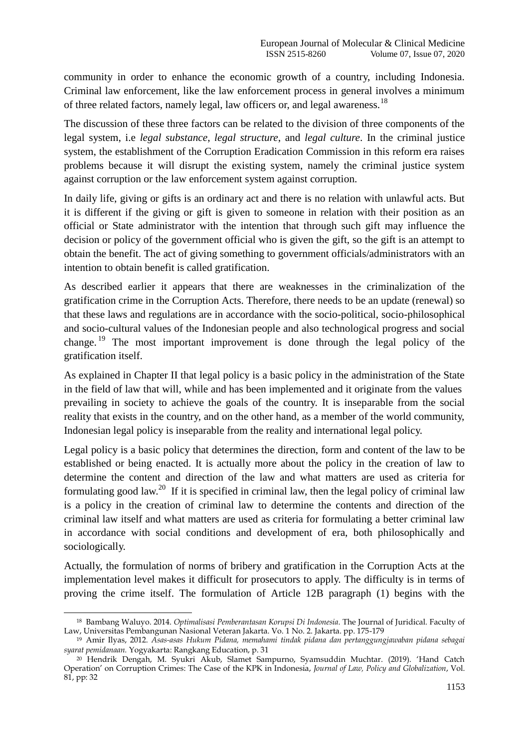community in order to enhance the economic growth of a country, including Indonesia. Criminal law enforcement, like the law enforcement process in general involves a minimum of three related factors, namely legal, law officers or, and legal awareness.<sup>18</sup>

The discussion of these three factors can be related to the division of three components of the legal system, i.e *legal substance*, *legal structure*, and *legal culture*. In the criminal justice system, the establishment of the Corruption Eradication Commission in this reform era raises problems because it will disrupt the existing system, namely the criminal justice system against corruption or the law enforcement system against corruption.

In daily life, giving or gifts is an ordinary act and there is no relation with unlawful acts. But it is different if the giving or gift is given to someone in relation with their position as an official or State administrator with the intention that through such gift may influence the decision or policy of the government official who is given the gift, so the gift is an attempt to obtain the benefit. The act of giving something to government officials/administrators with an intention to obtain benefit is called gratification.

As described earlier it appears that there are weaknesses in the criminalization of the gratification crime in the Corruption Acts. Therefore, there needs to be an update (renewal) so that these laws and regulations are in accordance with the socio-political, socio-philosophical and socio-cultural values of the Indonesian people and also technological progress and social change. <sup>19</sup> The most important improvement is done through the legal policy of the gratification itself.

As explained in Chapter II that legal policy is a basic policy in the administration of the State in the field of law that will, while and has been implemented and it originate from the values prevailing in society to achieve the goals of the country. It is inseparable from the social reality that exists in the country, and on the other hand, as a member of the world community, Indonesian legal policy is inseparable from the reality and international legal policy.

Legal policy is a basic policy that determines the direction, form and content of the law to be established or being enacted. It is actually more about the policy in the creation of law to determine the content and direction of the law and what matters are used as criteria for formulating good law.<sup>20</sup> If it is specified in criminal law, then the legal policy of criminal law is a policy in the creation of criminal law to determine the contents and direction of the criminal law itself and what matters are used as criteria for formulating a better criminal law in accordance with social conditions and development of era, both philosophically and sociologically.

Actually, the formulation of norms of bribery and gratification in the Corruption Acts at the implementation level makes it difficult for prosecutors to apply. The difficulty is in terms of proving the crime itself. The formulation of Article 12B paragraph (1) begins with the

<sup>&</sup>lt;u>.</u> <sup>18</sup> Bambang Waluyo. 2014. *Optimalisasi Pemberantasan Korupsi Di Indonesia*. The Journal of Juridical. Faculty of Law, Universitas Pembangunan Nasional Veteran Jakarta. Vo. 1 No. 2. Jakarta. pp. 175-179

<sup>19</sup> Amir Ilyas, 2012. *Asas-asas Hukum Pidana, memahami tindak pidana dan pertanggungjawaban pidana sebagai syarat pemidanaan.* Yogyakarta: Rangkang Education, p. 31

<sup>20</sup> Hendrik Dengah, M. Syukri Akub, Slamet Sampurno, Syamsuddin Muchtar. (2019). "Hand Catch Operation" on Corruption Crimes: The Case of the KPK in Indonesia, *Journal of Law, Policy and Globalization*, Vol. 81, pp: 32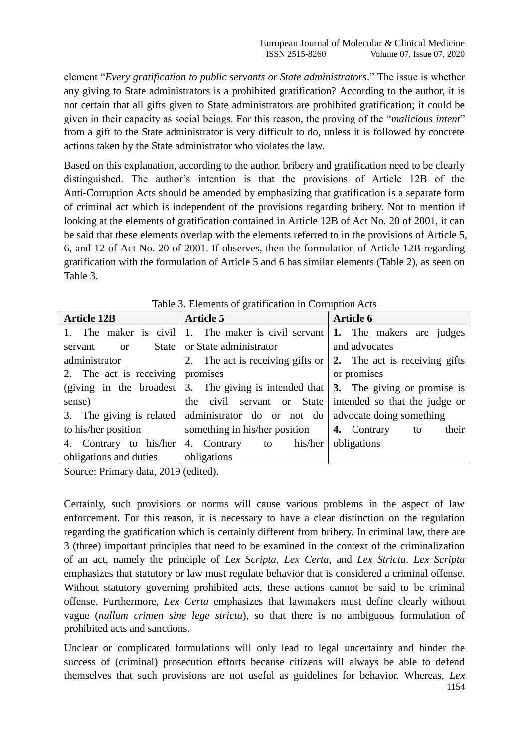element "*Every gratification to public servants or State administrators*." The issue is whether any giving to State administrators is a prohibited gratification? According to the author, it is not certain that all gifts given to State administrators are prohibited gratification; it could be given in their capacity as social beings. For this reason, the proving of the "*malicious intent*" from a gift to the State administrator is very difficult to do, unless it is followed by concrete actions taken by the State administrator who violates the law.

Based on this explanation, according to the author, bribery and gratification need to be clearly distinguished. The author"s intention is that the provisions of Article 12B of the Anti-Corruption Acts should be amended by emphasizing that gratification is a separate form of criminal act which is independent of the provisions regarding bribery. Not to mention if looking at the elements of gratification contained in Article 12B of Act No. 20 of 2001, it can be said that these elements overlap with the elements referred to in the provisions of Article 5, 6, and 12 of Act No. 20 of 2001. If observes, then the formulation of Article 12B regarding gratification with the formulation of Article 5 and 6 has similar elements (Table 2), as seen on Table 3.

| <b>Article 12B</b>       | <b>Article 5</b>                                                                                     | <b>Article 6</b>           |  |
|--------------------------|------------------------------------------------------------------------------------------------------|----------------------------|--|
|                          | 1. The maker is civil 1. The maker is civil servant $\vert 1$ . The makers are judges                |                            |  |
| servant<br>$\alpha$      | State or State administrator                                                                         | and advocates              |  |
| administrator            | 2. The act is receiving gifts or $\vert$ 2. The act is receiving gifts                               |                            |  |
| 2. The act is receiving  | promises                                                                                             | or promises                |  |
|                          | (giving in the broadest $\vert 3$ . The giving is intended that $\vert 3$ . The giving or promise is |                            |  |
| sense)                   | the civil servant or State intended so that the judge or                                             |                            |  |
| 3. The giving is related | administrator do or not do advocate doing something                                                  |                            |  |
| to his/her position      | something in his/her position                                                                        | their<br>4. Contrary<br>to |  |
| 4. Contrary to his/her   | 4. Contrary to his/her                                                                               | obligations                |  |
| obligations and duties   | obligations                                                                                          |                            |  |

Table 3. Elements of gratification in Corruption Acts

Source: Primary data, 2019 (edited).

Certainly, such provisions or norms will cause various problems in the aspect of law enforcement. For this reason, it is necessary to have a clear distinction on the regulation regarding the gratification which is certainly different from bribery. In criminal law, there are 3 (three) important principles that need to be examined in the context of the criminalization of an act, namely the principle of *Lex Scripta*, *Lex Certa*, and *Lex Stricta*. *Lex Scripta* emphasizes that statutory or law must regulate behavior that is considered a criminal offense. Without statutory governing prohibited acts, these actions cannot be said to be criminal offense. Furthermore, *Lex Certa* emphasizes that lawmakers must define clearly without vague (*nullum crimen sine lege stricta*), so that there is no ambiguous formulation of prohibited acts and sanctions.

Unclear or complicated formulations will only lead to legal uncertainty and hinder the success of (criminal) prosecution efforts because citizens will always be able to defend themselves that such provisions are not useful as guidelines for behavior. Whereas, *Lex*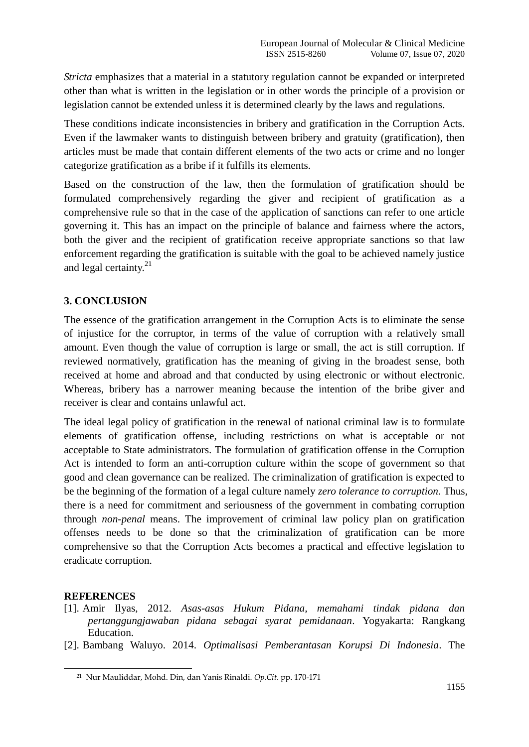*Stricta* emphasizes that a material in a statutory regulation cannot be expanded or interpreted other than what is written in the legislation or in other words the principle of a provision or legislation cannot be extended unless it is determined clearly by the laws and regulations.

These conditions indicate inconsistencies in bribery and gratification in the Corruption Acts. Even if the lawmaker wants to distinguish between bribery and gratuity (gratification), then articles must be made that contain different elements of the two acts or crime and no longer categorize gratification as a bribe if it fulfills its elements.

Based on the construction of the law, then the formulation of gratification should be formulated comprehensively regarding the giver and recipient of gratification as a comprehensive rule so that in the case of the application of sanctions can refer to one article governing it. This has an impact on the principle of balance and fairness where the actors, both the giver and the recipient of gratification receive appropriate sanctions so that law enforcement regarding the gratification is suitable with the goal to be achieved namely justice and legal certainty. $^{21}$ 

## **3. CONCLUSION**

The essence of the gratification arrangement in the Corruption Acts is to eliminate the sense of injustice for the corruptor, in terms of the value of corruption with a relatively small amount. Even though the value of corruption is large or small, the act is still corruption. If reviewed normatively, gratification has the meaning of giving in the broadest sense, both received at home and abroad and that conducted by using electronic or without electronic. Whereas, bribery has a narrower meaning because the intention of the bribe giver and receiver is clear and contains unlawful act.

The ideal legal policy of gratification in the renewal of national criminal law is to formulate elements of gratification offense, including restrictions on what is acceptable or not acceptable to State administrators. The formulation of gratification offense in the Corruption Act is intended to form an anti-corruption culture within the scope of government so that good and clean governance can be realized. The criminalization of gratification is expected to be the beginning of the formation of a legal culture namely *zero tolerance to corruption.* Thus, there is a need for commitment and seriousness of the government in combating corruption through *non-penal* means. The improvement of criminal law policy plan on gratification offenses needs to be done so that the criminalization of gratification can be more comprehensive so that the Corruption Acts becomes a practical and effective legislation to eradicate corruption.

#### **REFERENCES**

-

- [1]. Amir Ilyas, 2012. *Asas*-*asas Hukum Pidana, memahami tindak pidana dan pertanggungjawaban pidana sebagai syarat pemidanaan*. Yogyakarta: Rangkang Education.
- [2]. Bambang Waluyo. 2014. *Optimalisasi Pemberantasan Korupsi Di Indonesia*. The

<sup>21</sup> Nur Mauliddar, Mohd. Din, dan Yanis Rinaldi. *Op.Cit*. pp. 170-171